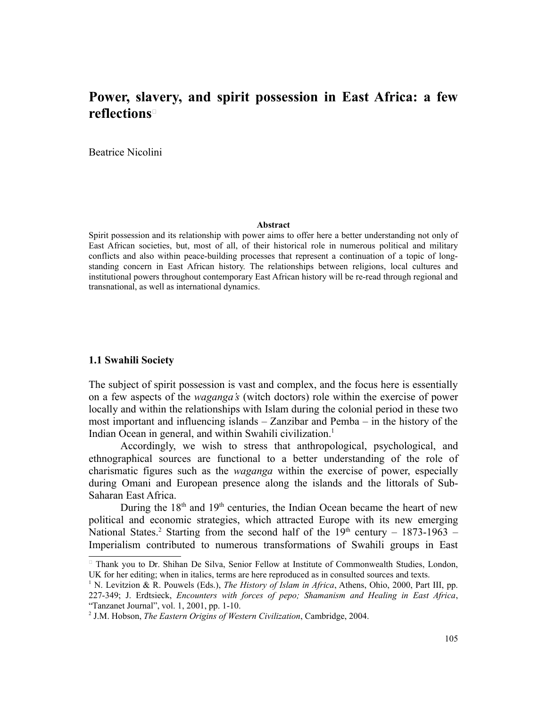# **Power, slavery, and spirit possession in East Africa: a few reflections**

Beatrice Nicolini

#### **Abstract**

Spirit possession and its relationship with power aims to offer here a better understanding not only of East African societies, but, most of all, of their historical role in numerous political and military conflicts and also within peace-building processes that represent a continuation of a topic of longstanding concern in East African history. The relationships between religions, local cultures and institutional powers throughout contemporary East African history will be re-read through regional and transnational, as well as international dynamics.

### **1.1 Swahili Society**

The subject of spirit possession is vast and complex, and the focus here is essentially on a few aspects of the *waganga's* (witch doctors) role within the exercise of power locally and within the relationships with Islam during the colonial period in these two most important and influencing islands – Zanzibar and Pemba – in the history of the Indian Ocean in general, and within Swahili civilization.<sup>[1](#page-0-1)</sup>

Accordingly, we wish to stress that anthropological, psychological, and ethnographical sources are functional to a better understanding of the role of charismatic figures such as the *waganga* within the exercise of power, especially during Omani and European presence along the islands and the littorals of Sub-Saharan East Africa.

During the  $18<sup>th</sup>$  and  $19<sup>th</sup>$  centuries, the Indian Ocean became the heart of new political and economic strategies, which attracted Europe with its new emerging National States.<sup>[2](#page-0-2)</sup> Starting from the second half of the  $19<sup>th</sup>$  century – 1873-1963 – Imperialism contributed to numerous transformations of Swahili groups in East

<span id="page-0-0"></span> Thank you to Dr. Shihan De Silva, Senior Fellow at Institute of Commonwealth Studies, London, UK for her editing; when in italics, terms are here reproduced as in consulted sources and texts.

<span id="page-0-1"></span><sup>&</sup>lt;sup>1</sup> N. Levitzion & R. Pouwels (Eds.), *The History of Islam in Africa*, Athens, Ohio, 2000, Part III, pp. 227-349; J. Erdtsieck, *Encounters with forces of pepo; Shamanism and Healing in East Africa*, "Tanzanet Journal", vol. 1, 2001, pp. 1-10.

<span id="page-0-2"></span><sup>2</sup> J.M. Hobson, *The Eastern Origins of Western Civilization*, Cambridge, 2004.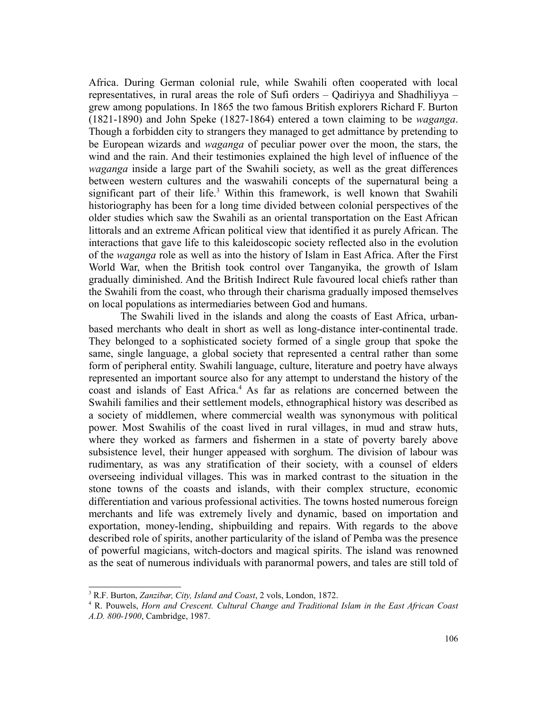Africa. During German colonial rule, while Swahili often cooperated with local representatives, in rural areas the role of Sufi orders – Qadiriyya and Shadhiliyya – grew among populations. In 1865 the two famous British explorers Richard F. Burton (1821-1890) and John Speke (1827-1864) entered a town claiming to be *waganga*. Though a forbidden city to strangers they managed to get admittance by pretending to be European wizards and *waganga* of peculiar power over the moon, the stars, the wind and the rain. And their testimonies explained the high level of influence of the *waganga* inside a large part of the Swahili society, as well as the great differences between western cultures and the waswahili concepts of the supernatural being a significant part of their life.<sup>[3](#page-1-0)</sup> Within this framework, is well known that Swahili historiography has been for a long time divided between colonial perspectives of the older studies which saw the Swahili as an oriental transportation on the East African littorals and an extreme African political view that identified it as purely African. The interactions that gave life to this kaleidoscopic society reflected also in the evolution of the *waganga* role as well as into the history of Islam in East Africa. After the First World War, when the British took control over Tanganyika, the growth of Islam gradually diminished. And the British Indirect Rule favoured local chiefs rather than the Swahili from the coast, who through their charisma gradually imposed themselves on local populations as intermediaries between God and humans.

The Swahili lived in the islands and along the coasts of East Africa, urbanbased merchants who dealt in short as well as long-distance inter-continental trade. They belonged to a sophisticated society formed of a single group that spoke the same, single language, a global society that represented a central rather than some form of peripheral entity. Swahili language, culture, literature and poetry have always represented an important source also for any attempt to understand the history of the coast and islands of East Africa.<sup>[4](#page-1-1)</sup> As far as relations are concerned between the Swahili families and their settlement models, ethnographical history was described as a society of middlemen, where commercial wealth was synonymous with political power. Most Swahilis of the coast lived in rural villages, in mud and straw huts, where they worked as farmers and fishermen in a state of poverty barely above subsistence level, their hunger appeased with sorghum. The division of labour was rudimentary, as was any stratification of their society, with a counsel of elders overseeing individual villages. This was in marked contrast to the situation in the stone towns of the coasts and islands, with their complex structure, economic differentiation and various professional activities. The towns hosted numerous foreign merchants and life was extremely lively and dynamic, based on importation and exportation, money-lending, shipbuilding and repairs. With regards to the above described role of spirits, another particularity of the island of Pemba was the presence of powerful magicians, witch-doctors and magical spirits. The island was renowned as the seat of numerous individuals with paranormal powers, and tales are still told of

<span id="page-1-0"></span><sup>3</sup> R.F. Burton, *Zanzibar, City, Island and Coast*, 2 vols, London, 1872.

<span id="page-1-1"></span><sup>&</sup>lt;sup>4</sup> R. Pouwels, *Horn and Crescent. Cultural Change and Traditional Islam in the East African Coast A.D. 800-1900*, Cambridge, 1987.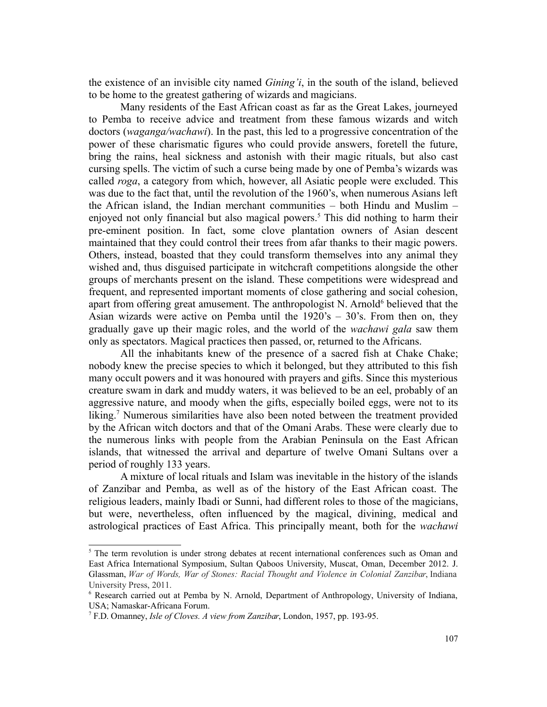the existence of an invisible city named *Gining'i*, in the south of the island, believed to be home to the greatest gathering of wizards and magicians.

Many residents of the East African coast as far as the Great Lakes, journeyed to Pemba to receive advice and treatment from these famous wizards and witch doctors (*waganga/wachawi*). In the past, this led to a progressive concentration of the power of these charismatic figures who could provide answers, foretell the future, bring the rains, heal sickness and astonish with their magic rituals, but also cast cursing spells. The victim of such a curse being made by one of Pemba's wizards was called *roga*, a category from which, however, all Asiatic people were excluded. This was due to the fact that, until the revolution of the 1960's, when numerous Asians left the African island, the Indian merchant communities – both Hindu and Muslim – enjoyed not only financial but also magical powers.<sup>[5](#page-2-0)</sup> This did nothing to harm their pre-eminent position. In fact, some clove plantation owners of Asian descent maintained that they could control their trees from afar thanks to their magic powers. Others, instead, boasted that they could transform themselves into any animal they wished and, thus disguised participate in witchcraft competitions alongside the other groups of merchants present on the island. These competitions were widespread and frequent, and represented important moments of close gathering and social cohesion, apart from offering great amusement. The anthropologist N. Arnold<sup>[6](#page-2-1)</sup> believed that the Asian wizards were active on Pemba until the 1920's – 30's. From then on, they gradually gave up their magic roles, and the world of the *wachawi gala* saw them only as spectators. Magical practices then passed, or, returned to the Africans.

All the inhabitants knew of the presence of a sacred fish at Chake Chake; nobody knew the precise species to which it belonged, but they attributed to this fish many occult powers and it was honoured with prayers and gifts. Since this mysterious creature swam in dark and muddy waters, it was believed to be an eel, probably of an aggressive nature, and moody when the gifts, especially boiled eggs, were not to its liking.<sup>[7](#page-2-2)</sup> Numerous similarities have also been noted between the treatment provided by the African witch doctors and that of the Omani Arabs. These were clearly due to the numerous links with people from the Arabian Peninsula on the East African islands, that witnessed the arrival and departure of twelve Omani Sultans over a period of roughly 133 years.

A mixture of local rituals and Islam was inevitable in the history of the islands of Zanzibar and Pemba, as well as of the history of the East African coast. The religious leaders, mainly Ibadi or Sunni, had different roles to those of the magicians, but were, nevertheless, often influenced by the magical, divining, medical and astrological practices of East Africa. This principally meant, both for the *wachawi* 

<span id="page-2-0"></span><sup>&</sup>lt;sup>5</sup> The term revolution is under strong debates at recent international conferences such as Oman and East Africa International Symposium, Sultan Qaboos University, Muscat, Oman, December 2012. J. Glassman, *War of Words, War of Stones: Racial Thought and Violence in Colonial Zanzibar*, Indiana University Press, 2011.

<span id="page-2-1"></span><sup>&</sup>lt;sup>6</sup> Research carried out at Pemba by N. Arnold, Department of Anthropology, University of Indiana, USA; Namaskar-Africana Forum.

<span id="page-2-2"></span><sup>7</sup> F.D. Omanney, *Isle of Cloves. A view from Zanzibar*, London, 1957, pp. 193-95.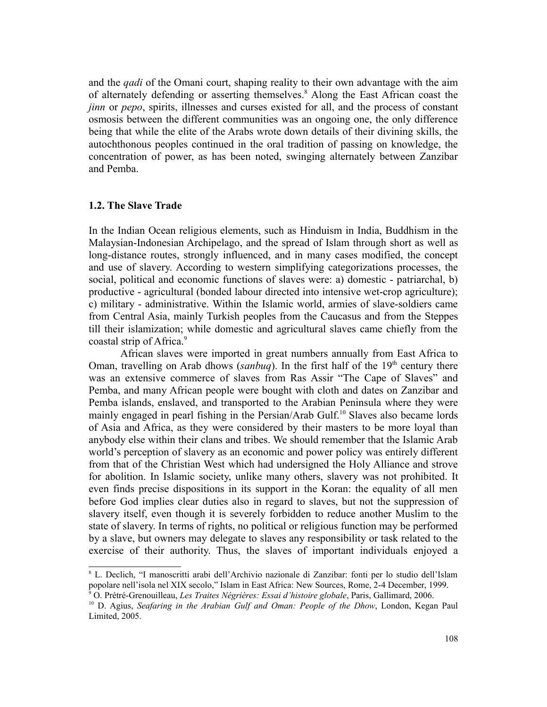and the *qadi* of the Omani court, shaping reality to their own advantage with the aim of alternately defending or asserting themselves.<sup>[8](#page-3-0)</sup> Along the East African coast the *jinn* or *pepo*, spirits, illnesses and curses existed for all, and the process of constant osmosis between the different communities was an ongoing one, the only difference being that while the elite of the Arabs wrote down details of their divining skills, the autochthonous peoples continued in the oral tradition of passing on knowledge, the concentration of power, as has been noted, swinging alternately between Zanzibar and Pemba.

## **1.2. The Slave Trade**

In the Indian Ocean religious elements, such as Hinduism in India, Buddhism in the Malaysian-Indonesian Archipelago, and the spread of Islam through short as well as long-distance routes, strongly influenced, and in many cases modified, the concept and use of slavery. According to western simplifying categorizations processes, the social, political and economic functions of slaves were: a) domestic - patriarchal, b) productive - agricultural (bonded labour directed into intensive wet-crop agriculture); c) military - administrative. Within the Islamic world, armies of slave-soldiers came from Central Asia, mainly Turkish peoples from the Caucasus and from the Steppes till their islamization; while domestic and agricultural slaves came chiefly from the coastal strip of Africa.<sup>[9](#page-3-1)</sup>

African slaves were imported in great numbers annually from East Africa to Oman, travelling on Arab dhows (*sanbuq*). In the first half of the  $19<sup>th</sup>$  century there was an extensive commerce of slaves from Ras Assir "The Cape of Slaves" and Pemba, and many African people were bought with cloth and dates on Zanzibar and Pemba islands, enslaved, and transported to the Arabian Peninsula where they were mainly engaged in pearl fishing in the Persian/Arab Gulf.<sup>[10](#page-3-2)</sup> Slaves also became lords of Asia and Africa, as they were considered by their masters to be more loyal than anybody else within their clans and tribes. We should remember that the Islamic Arab world's perception of slavery as an economic and power policy was entirely different from that of the Christian West which had undersigned the Holy Alliance and strove for abolition. In Islamic society, unlike many others, slavery was not prohibited. It even finds precise dispositions in its support in the Koran: the equality of all men before God implies clear duties also in regard to slaves, but not the suppression of slavery itself, even though it is severely forbidden to reduce another Muslim to the state of slavery. In terms of rights, no political or religious function may be performed by a slave, but owners may delegate to slaves any responsibility or task related to the exercise of their authority. Thus, the slaves of important individuals enjoyed a

<span id="page-3-0"></span><sup>8</sup> L. Declich, "I manoscritti arabi dell'Archivio nazionale di Zanzibar: fonti per lo studio dell'Islam popolare nell'isola nel XIX secolo," Islam in East Africa: New Sources, Rome, 2-4 December, 1999.

<span id="page-3-1"></span><sup>9</sup> O. Prétré-Grenouilleau, *Les Traites Négrières: Essai d'histoire globale*, Paris, Gallimard, 2006.

<span id="page-3-2"></span><sup>10</sup> D. Agius, *Seafaring in the Arabian Gulf and Oman: People of the Dhow*, London, Kegan Paul Limited, 2005.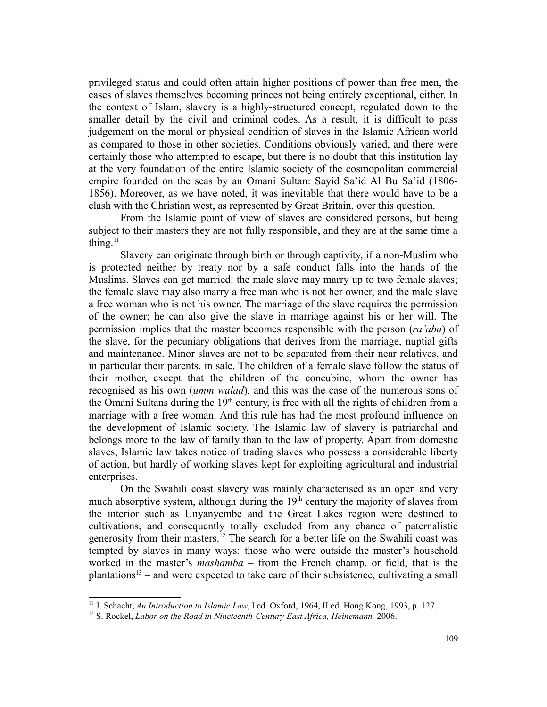privileged status and could often attain higher positions of power than free men, the cases of slaves themselves becoming princes not being entirely exceptional, either. In the context of Islam, slavery is a highly-structured concept, regulated down to the smaller detail by the civil and criminal codes. As a result, it is difficult to pass judgement on the moral or physical condition of slaves in the Islamic African world as compared to those in other societies. Conditions obviously varied, and there were certainly those who attempted to escape, but there is no doubt that this institution lay at the very foundation of the entire Islamic society of the cosmopolitan commercial empire founded on the seas by an Omani Sultan: Sayid Sa'id Al Bu Sa'id (1806- 1856). Moreover, as we have noted, it was inevitable that there would have to be a clash with the Christian west, as represented by Great Britain, over this question.

From the Islamic point of view of slaves are considered persons, but being subject to their masters they are not fully responsible, and they are at the same time a thing. $11$ 

Slavery can originate through birth or through captivity, if a non-Muslim who is protected neither by treaty nor by a safe conduct falls into the hands of the Muslims. Slaves can get married: the male slave may marry up to two female slaves; the female slave may also marry a free man who is not her owner, and the male slave a free woman who is not his owner. The marriage of the slave requires the permission of the owner; he can also give the slave in marriage against his or her will. The permission implies that the master becomes responsible with the person (*ra'aba*) of the slave, for the pecuniary obligations that derives from the marriage, nuptial gifts and maintenance. Minor slaves are not to be separated from their near relatives, and in particular their parents, in sale. The children of a female slave follow the status of their mother, except that the children of the concubine, whom the owner has recognised as his own (*umm walad*), and this was the case of the numerous sons of the Omani Sultans during the  $19<sup>th</sup>$  century, is free with all the rights of children from a marriage with a free woman. And this rule has had the most profound influence on the development of Islamic society. The Islamic law of slavery is patriarchal and belongs more to the law of family than to the law of property. Apart from domestic slaves, Islamic law takes notice of trading slaves who possess a considerable liberty of action, but hardly of working slaves kept for exploiting agricultural and industrial enterprises.

On the Swahili coast slavery was mainly characterised as an open and very much absorptive system, although during the  $19<sup>th</sup>$  century the majority of slaves from the interior such as Unyanyembe and the Great Lakes region were destined to cultivations, and consequently totally excluded from any chance of paternalistic generosity from their masters.<sup>[12](#page-4-1)</sup> The search for a better life on the Swahili coast was tempted by slaves in many ways: those who were outside the master's household worked in the master's *mashamba* – from the French champ, or field, that is the plantations<sup>[13](#page-5-0)</sup> – and were expected to take care of their subsistence, cultivating a small

<span id="page-4-0"></span><sup>11</sup> J. Schacht, *An Introduction to Islamic Law*, I ed. Oxford, 1964, II ed. Hong Kong, 1993, p. 127.

<span id="page-4-1"></span><sup>12</sup> S. Rockel, *Labor on the Road in Nineteenth-Century East Africa, Heinemann,* 2006.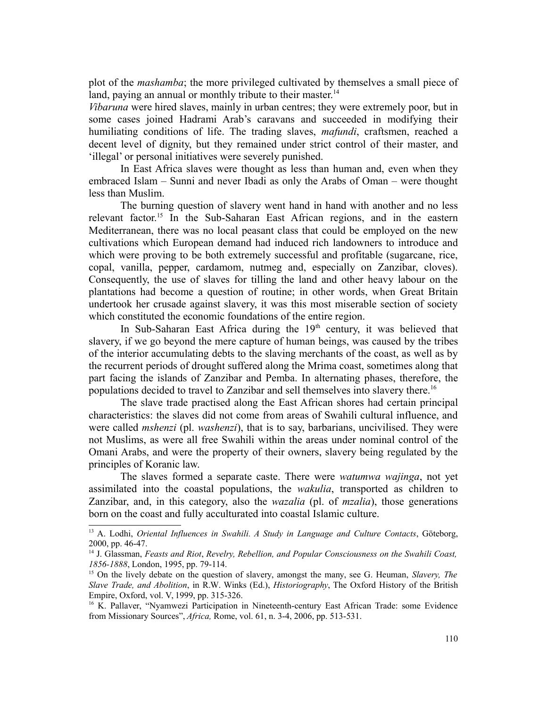plot of the *mashamba*; the more privileged cultivated by themselves a small piece of land, paying an annual or monthly tribute to their master.<sup>[14](#page-5-1)</sup>

*Vibaruna* were hired slaves, mainly in urban centres; they were extremely poor, but in some cases joined Hadrami Arab's caravans and succeeded in modifying their humiliating conditions of life. The trading slaves, *mafundi*, craftsmen, reached a decent level of dignity, but they remained under strict control of their master, and 'illegal' or personal initiatives were severely punished.

In East Africa slaves were thought as less than human and, even when they embraced Islam – Sunni and never Ibadi as only the Arabs of Oman – were thought less than Muslim.

The burning question of slavery went hand in hand with another and no less relevant factor.[15](#page-5-2) In the Sub-Saharan East African regions, and in the eastern Mediterranean, there was no local peasant class that could be employed on the new cultivations which European demand had induced rich landowners to introduce and which were proving to be both extremely successful and profitable (sugarcane, rice, copal, vanilla, pepper, cardamom, nutmeg and, especially on Zanzibar, cloves). Consequently, the use of slaves for tilling the land and other heavy labour on the plantations had become a question of routine; in other words, when Great Britain undertook her crusade against slavery, it was this most miserable section of society which constituted the economic foundations of the entire region.

In Sub-Saharan East Africa during the  $19<sup>th</sup>$  century, it was believed that slavery, if we go beyond the mere capture of human beings, was caused by the tribes of the interior accumulating debts to the slaving merchants of the coast, as well as by the recurrent periods of drought suffered along the Mrima coast, sometimes along that part facing the islands of Zanzibar and Pemba. In alternating phases, therefore, the populations decided to travel to Zanzibar and sell themselves into slavery there.[16](#page-5-3)

The slave trade practised along the East African shores had certain principal characteristics: the slaves did not come from areas of Swahili cultural influence, and were called *mshenzi* (pl. *washenzi*), that is to say, barbarians, uncivilised. They were not Muslims, as were all free Swahili within the areas under nominal control of the Omani Arabs, and were the property of their owners, slavery being regulated by the principles of Koranic law.

The slaves formed a separate caste. There were *watumwa wajinga*, not yet assimilated into the coastal populations, the *wakulia*, transported as children to Zanzibar, and, in this category, also the *wazalia* (pl. of *mzalia*), those generations born on the coast and fully acculturated into coastal Islamic culture.

<span id="page-5-0"></span><sup>13</sup> A. Lodhi, *Oriental Influences in Swahili. A Study in Language and Culture Contacts*, Göteborg, 2000, pp. 46-47.

<span id="page-5-1"></span><sup>14</sup> J. Glassman, *Feasts and Riot*, *Revelry, Rebellion, and Popular Consciousness on the Swahili Coast, 1856-1888*, London, 1995, pp. 79-114.

<span id="page-5-2"></span><sup>15</sup> On the lively debate on the question of slavery, amongst the many, see G. Heuman, *Slavery, The Slave Trade, and Abolition*, in R.W. Winks (Ed.), *Historiography*, The Oxford History of the British Empire, Oxford, vol. V, 1999, pp. 315-326.

<span id="page-5-3"></span><sup>16</sup> K. Pallaver, "Nyamwezi Participation in Nineteenth-century East African Trade: some Evidence from Missionary Sources", *Africa,* Rome, vol. 61, n. 3-4, 2006, pp. 513-531.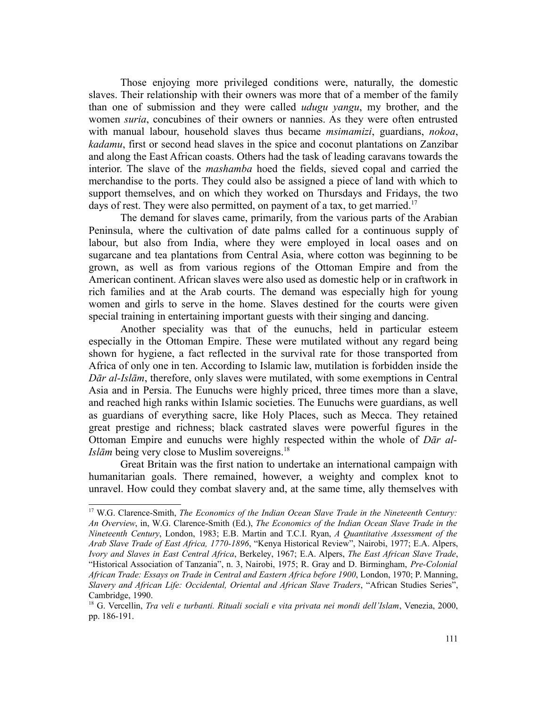Those enjoying more privileged conditions were, naturally, the domestic slaves. Their relationship with their owners was more that of a member of the family than one of submission and they were called *udugu yangu*, my brother, and the women *suria*, concubines of their owners or nannies. As they were often entrusted with manual labour, household slaves thus became *msimamizi*, guardians, *nokoa*, *kadamu*, first or second head slaves in the spice and coconut plantations on Zanzibar and along the East African coasts. Others had the task of leading caravans towards the interior. The slave of the *mashamba* hoed the fields, sieved copal and carried the merchandise to the ports. They could also be assigned a piece of land with which to support themselves, and on which they worked on Thursdays and Fridays, the two days of rest. They were also permitted, on payment of a tax, to get married.<sup>[17](#page-6-0)</sup>

The demand for slaves came, primarily, from the various parts of the Arabian Peninsula, where the cultivation of date palms called for a continuous supply of labour, but also from India, where they were employed in local oases and on sugarcane and tea plantations from Central Asia, where cotton was beginning to be grown, as well as from various regions of the Ottoman Empire and from the American continent. African slaves were also used as domestic help or in craftwork in rich families and at the Arab courts. The demand was especially high for young women and girls to serve in the home. Slaves destined for the courts were given special training in entertaining important guests with their singing and dancing.

Another speciality was that of the eunuchs, held in particular esteem especially in the Ottoman Empire. These were mutilated without any regard being shown for hygiene, a fact reflected in the survival rate for those transported from Africa of only one in ten. According to Islamic law, mutilation is forbidden inside the *Dār al-Islām*, therefore, only slaves were mutilated, with some exemptions in Central Asia and in Persia. The Eunuchs were highly priced, three times more than a slave, and reached high ranks within Islamic societies. The Eunuchs were guardians, as well as guardians of everything sacre, like Holy Places, such as Mecca. They retained great prestige and richness; black castrated slaves were powerful figures in the Ottoman Empire and eunuchs were highly respected within the whole of *Dār al-Islām* being very close to Muslim sovereigns.<sup>[18](#page-6-1)</sup>

Great Britain was the first nation to undertake an international campaign with humanitarian goals. There remained, however, a weighty and complex knot to unravel. How could they combat slavery and, at the same time, ally themselves with

<span id="page-6-0"></span><sup>&</sup>lt;sup>17</sup> W.G. Clarence-Smith, *The Economics of the Indian Ocean Slave Trade in the Nineteenth Century: An Overview*, in, W.G. Clarence-Smith (Ed.), *The Economics of the Indian Ocean Slave Trade in the Nineteenth Century*, London, 1983; E.B. Martin and T.C.I. Ryan, *A Quantitative Assessment of the Arab Slave Trade of East Africa, 1770-1896*, "Kenya Historical Review", Nairobi, 1977; E.A. Alpers, *Ivory and Slaves in East Central Africa*, Berkeley, 1967; E.A. Alpers, *The East African Slave Trade*, "Historical Association of Tanzania", n. 3, Nairobi, 1975; R. Gray and D. Birmingham, *Pre-Colonial African Trade: Essays on Trade in Central and Eastern Africa before 1900*, London, 1970; P. Manning, *Slavery and African Life: Occidental, Oriental and African Slave Traders*, "African Studies Series", Cambridge, 1990.

<span id="page-6-1"></span><sup>18</sup> G. Vercellin, *Tra veli e turbanti. Rituali sociali e vita privata nei mondi dell'Islam*, Venezia, 2000, pp. 186-191.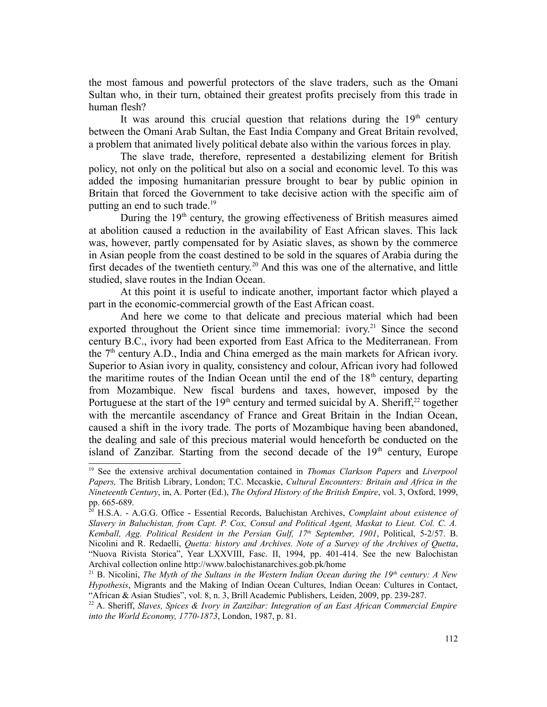the most famous and powerful protectors of the slave traders, such as the Omani Sultan who, in their turn, obtained their greatest profits precisely from this trade in human flesh?

It was around this crucial question that relations during the  $19<sup>th</sup>$  century between the Omani Arab Sultan, the East India Company and Great Britain revolved, a problem that animated lively political debate also within the various forces in play.

The slave trade, therefore, represented a destabilizing element for British policy, not only on the political but also on a social and economic level. To this was added the imposing humanitarian pressure brought to bear by public opinion in Britain that forced the Government to take decisive action with the specific aim of putting an end to such trade.<sup>[19](#page-7-0)</sup>

During the  $19<sup>th</sup>$  century, the growing effectiveness of British measures aimed at abolition caused a reduction in the availability of East African slaves. This lack was, however, partly compensated for by Asiatic slaves, as shown by the commerce in Asian people from the coast destined to be sold in the squares of Arabia during the first decades of the twentieth century.<sup>[20](#page-7-1)</sup> And this was one of the alternative, and little studied, slave routes in the Indian Ocean.

At this point it is useful to indicate another, important factor which played a part in the economic-commercial growth of the East African coast.

And here we come to that delicate and precious material which had been exported throughout the Orient since time immemorial: ivory.<sup>[21](#page-7-2)</sup> Since the second century B.C., ivory had been exported from East Africa to the Mediterranean. From the 7<sup>th</sup> century A.D., India and China emerged as the main markets for African ivory. Superior to Asian ivory in quality, consistency and colour, African ivory had followed the maritime routes of the Indian Ocean until the end of the  $18<sup>th</sup>$  century, departing from Mozambique. New fiscal burdens and taxes, however, imposed by the Portuguese at the start of the  $19<sup>th</sup>$  century and termed suicidal by A. Sheriff,<sup>[22](#page-7-3)</sup> together with the mercantile ascendancy of France and Great Britain in the Indian Ocean, caused a shift in the ivory trade. The ports of Mozambique having been abandoned, the dealing and sale of this precious material would henceforth be conducted on the island of Zanzibar. Starting from the second decade of the  $19<sup>th</sup>$  century, Europe

<span id="page-7-0"></span><sup>19</sup> See the extensive archival documentation contained in *Thomas Clarkson Papers* and *Liverpool Papers,* The British Library, London; T.C. Mccaskie, *Cultural Encounters: Britain and Africa in the Nineteenth Century*, in, A. Porter (Ed.), *The Oxford History of the British Empire*, vol. 3, Oxford, 1999, pp. 665-689.

<span id="page-7-1"></span><sup>20</sup> H.S.A. - A.G.G. Office - Essential Records, Baluchistan Archives, *Complaint about existence of Slavery in Baluchistan, from Capt. P. Cox, Consul and Political Agent, Maskat to Lieut. Col. C. A. Kemball, Agg. Political Resident in the Persian Gulf, 17th September, 1901*, Political, 5-2/57. B. Nicolini and R. Redaelli, *Quetta: history and Archives. Note of a Survey of the Archives of Quetta*, "Nuova Rivista Storica", Year LXXVIII, Fasc. II, 1994, pp. 401-414. See the new Balochistan Archival collection online http://www.balochistanarchives.gob.pk/home

<span id="page-7-2"></span><sup>&</sup>lt;sup>21</sup> B. Nicolini, *The Myth of the Sultans in the Western Indian Ocean during the 19<sup>th</sup> century: A New Hypothesis*, Migrants and the Making of Indian Ocean Cultures, Indian Ocean: Cultures in Contact, "African & Asian Studies", vol. 8, n. 3, Brill Academic Publishers, Leiden, 2009, pp. 239-287.

<span id="page-7-3"></span><sup>22</sup> A. Sheriff, *Slaves, Spices & Ivory in Zanzibar: Integration of an East African Commercial Empire into the World Economy, 1770-1873*, London, 1987, p. 81.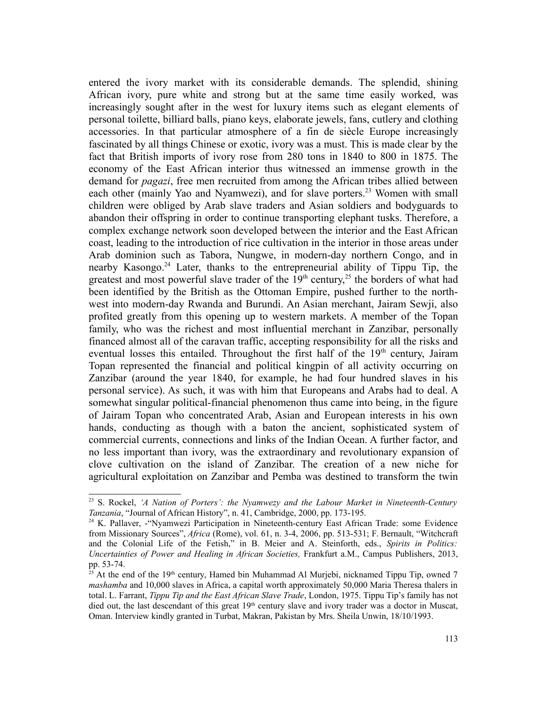entered the ivory market with its considerable demands. The splendid, shining African ivory, pure white and strong but at the same time easily worked, was increasingly sought after in the west for luxury items such as elegant elements of personal toilette, billiard balls, piano keys, elaborate jewels, fans, cutlery and clothing accessories. In that particular atmosphere of a fin de siècle Europe increasingly fascinated by all things Chinese or exotic, ivory was a must. This is made clear by the fact that British imports of ivory rose from 280 tons in 1840 to 800 in 1875. The economy of the East African interior thus witnessed an immense growth in the demand for *pagazi*, free men recruited from among the African tribes allied between each other (mainly Yao and Nyamwezi), and for slave porters.<sup>[23](#page-8-0)</sup> Women with small children were obliged by Arab slave traders and Asian soldiers and bodyguards to abandon their offspring in order to continue transporting elephant tusks. Therefore, a complex exchange network soon developed between the interior and the East African coast, leading to the introduction of rice cultivation in the interior in those areas under Arab dominion such as Tabora, Nungwe, in modern-day northern Congo, and in nearby Kasongo.<sup>[24](#page-8-1)</sup> Later, thanks to the entrepreneurial ability of Tippu Tip, the greatest and most powerful slave trader of the  $19<sup>th</sup>$  century,<sup>[25](#page-8-2)</sup> the borders of what had been identified by the British as the Ottoman Empire, pushed further to the northwest into modern-day Rwanda and Burundi. An Asian merchant, Jairam Sewji, also profited greatly from this opening up to western markets. A member of the Topan family, who was the richest and most influential merchant in Zanzibar, personally financed almost all of the caravan traffic, accepting responsibility for all the risks and eventual losses this entailed. Throughout the first half of the  $19<sup>th</sup>$  century, Jairam Topan represented the financial and political kingpin of all activity occurring on Zanzibar (around the year 1840, for example, he had four hundred slaves in his personal service). As such, it was with him that Europeans and Arabs had to deal. A somewhat singular political-financial phenomenon thus came into being, in the figure of Jairam Topan who concentrated Arab, Asian and European interests in his own hands, conducting as though with a baton the ancient, sophisticated system of commercial currents, connections and links of the Indian Ocean. A further factor, and no less important than ivory, was the extraordinary and revolutionary expansion of clove cultivation on the island of Zanzibar. The creation of a new niche for agricultural exploitation on Zanzibar and Pemba was destined to transform the twin

<span id="page-8-0"></span><sup>23</sup> S. Rockel, *'A Nation of Porters': the Nyamwezy and the Labour Market in Nineteenth-Century Tanzania*, "Journal of African History", n. 41, Cambridge, 2000, pp. 173-195.

<span id="page-8-1"></span><sup>&</sup>lt;sup>24</sup> K. Pallaver, -"Nyamwezi Participation in Nineteenth-century East African Trade: some Evidence from Missionary Sources", *Africa* (Rome), vol. 61, n. 3-4, 2006, pp. 513-531; F. Bernault, "Witchcraft and the Colonial Life of the Fetish," in B. Meier and A. Steinforth, eds., *Spirits in Politics: Uncertainties of Power and Healing in African Societies,* Frankfurt a.M., Campus Publishers, 2013, pp. 53-74.

<span id="page-8-2"></span> $25$  At the end of the 19<sup>th</sup> century, Hamed bin Muhammad Al Murjebi, nicknamed Tippu Tip, owned 7 *mashamba* and 10,000 slaves in Africa, a capital worth approximately 50,000 Maria Theresa thalers in total. L. Farrant, *Tippu Tip and the East African Slave Trade*, London, 1975. Tippu Tip's family has not died out, the last descendant of this great  $19<sup>th</sup>$  century slave and ivory trader was a doctor in Muscat, Oman. Interview kindly granted in Turbat, Makran, Pakistan by Mrs. Sheila Unwin, 18/10/1993.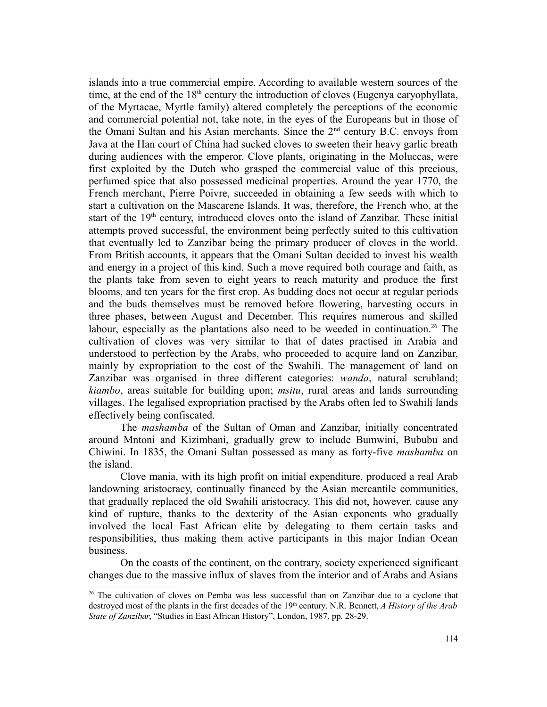islands into a true commercial empire. According to available western sources of the time, at the end of the  $18<sup>th</sup>$  century the introduction of cloves (Eugenya caryophyllata, of the Myrtacae, Myrtle family) altered completely the perceptions of the economic and commercial potential not, take note, in the eyes of the Europeans but in those of the Omani Sultan and his Asian merchants. Since the  $2<sup>nd</sup>$  century B.C. envoys from Java at the Han court of China had sucked cloves to sweeten their heavy garlic breath during audiences with the emperor. Clove plants, originating in the Moluccas, were first exploited by the Dutch who grasped the commercial value of this precious, perfumed spice that also possessed medicinal properties. Around the year 1770, the French merchant, Pierre Poivre, succeeded in obtaining a few seeds with which to start a cultivation on the Mascarene Islands. It was, therefore, the French who, at the start of the  $19<sup>th</sup>$  century, introduced cloves onto the island of Zanzibar. These initial attempts proved successful, the environment being perfectly suited to this cultivation that eventually led to Zanzibar being the primary producer of cloves in the world. From British accounts, it appears that the Omani Sultan decided to invest his wealth and energy in a project of this kind. Such a move required both courage and faith, as the plants take from seven to eight years to reach maturity and produce the first blooms, and ten years for the first crop. As budding does not occur at regular periods and the buds themselves must be removed before flowering, harvesting occurs in three phases, between August and December. This requires numerous and skilled labour, especially as the plantations also need to be weeded in continuation.<sup>[26](#page-9-0)</sup> The cultivation of cloves was very similar to that of dates practised in Arabia and understood to perfection by the Arabs, who proceeded to acquire land on Zanzibar, mainly by expropriation to the cost of the Swahili. The management of land on Zanzibar was organised in three different categories: *wanda*, natural scrubland; *kiambo*, areas suitable for building upon; *msitu*, rural areas and lands surrounding villages. The legalised expropriation practised by the Arabs often led to Swahili lands effectively being confiscated.

The *mashamba* of the Sultan of Oman and Zanzibar, initially concentrated around Mntoni and Kizimbani, gradually grew to include Bumwini, Bububu and Chiwini. In 1835, the Omani Sultan possessed as many as forty-five *mashamba* on the island.

Clove mania, with its high profit on initial expenditure, produced a real Arab landowning aristocracy, continually financed by the Asian mercantile communities, that gradually replaced the old Swahili aristocracy. This did not, however, cause any kind of rupture, thanks to the dexterity of the Asian exponents who gradually involved the local East African elite by delegating to them certain tasks and responsibilities, thus making them active participants in this major Indian Ocean business.

On the coasts of the continent, on the contrary, society experienced significant changes due to the massive influx of slaves from the interior and of Arabs and Asians

<span id="page-9-0"></span><sup>&</sup>lt;sup>26</sup> The cultivation of cloves on Pemba was less successful than on Zanzibar due to a cyclone that destroyed most of the plants in the first decades of the 19th century. N.R. Bennett, *A History of the Arab State of Zanzibar*, "Studies in East African History", London, 1987, pp. 28-29.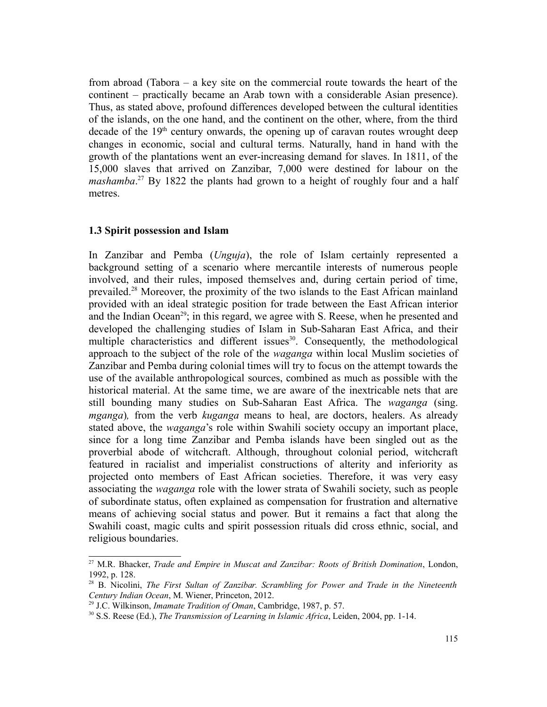from abroad (Tabora – a key site on the commercial route towards the heart of the continent – practically became an Arab town with a considerable Asian presence). Thus, as stated above, profound differences developed between the cultural identities of the islands, on the one hand, and the continent on the other, where, from the third decade of the  $19<sup>th</sup>$  century onwards, the opening up of caravan routes wrought deep changes in economic, social and cultural terms. Naturally, hand in hand with the growth of the plantations went an ever-increasing demand for slaves. In 1811, of the 15,000 slaves that arrived on Zanzibar, 7,000 were destined for labour on the mashamba.<sup>[27](#page-10-0)</sup> By 1822 the plants had grown to a height of roughly four and a half metres.

## **1.3 Spirit possession and Islam**

In Zanzibar and Pemba (*Unguja*), the role of Islam certainly represented a background setting of a scenario where mercantile interests of numerous people involved, and their rules, imposed themselves and, during certain period of time, prevailed.[28](#page-10-1) Moreover, the proximity of the two islands to the East African mainland provided with an ideal strategic position for trade between the East African interior and the Indian Ocean<sup>[29](#page-10-2)</sup>; in this regard, we agree with S. Reese, when he presented and developed the challenging studies of Islam in Sub-Saharan East Africa, and their multiple characteristics and different issues<sup>[30](#page-10-3)</sup>. Consequently, the methodological approach to the subject of the role of the *waganga* within local Muslim societies of Zanzibar and Pemba during colonial times will try to focus on the attempt towards the use of the available anthropological sources, combined as much as possible with the historical material. At the same time, we are aware of the inextricable nets that are still bounding many studies on Sub-Saharan East Africa. The *waganga* (sing. *mganga*)*,* from the verb *kuganga* means to heal, are doctors, healers. As already stated above, the *waganga*'s role within Swahili society occupy an important place, since for a long time Zanzibar and Pemba islands have been singled out as the proverbial abode of witchcraft. Although, throughout colonial period, witchcraft featured in racialist and imperialist constructions of alterity and inferiority as projected onto members of East African societies. Therefore, it was very easy associating the *waganga* role with the lower strata of Swahili society, such as people of subordinate status, often explained as compensation for frustration and alternative means of achieving social status and power. But it remains a fact that along the Swahili coast, magic cults and spirit possession rituals did cross ethnic, social, and religious boundaries.

<span id="page-10-0"></span><sup>27</sup> M.R. Bhacker, *Trade and Empire in Muscat and Zanzibar: Roots of British Domination*, London, 1992, p. 128.

<span id="page-10-1"></span><sup>28</sup> B. Nicolini, *The First Sultan of Zanzibar. Scrambling for Power and Trade in the Nineteenth Century Indian Ocean*, M. Wiener, Princeton, 2012.

<span id="page-10-2"></span><sup>29</sup> J.C. Wilkinson, *Imamate Tradition of Oman*, Cambridge, 1987, p. 57.

<span id="page-10-3"></span><sup>30</sup> S.S. Reese (Ed.), *The Transmission of Learning in Islamic Africa*, Leiden, 2004, pp. 1-14.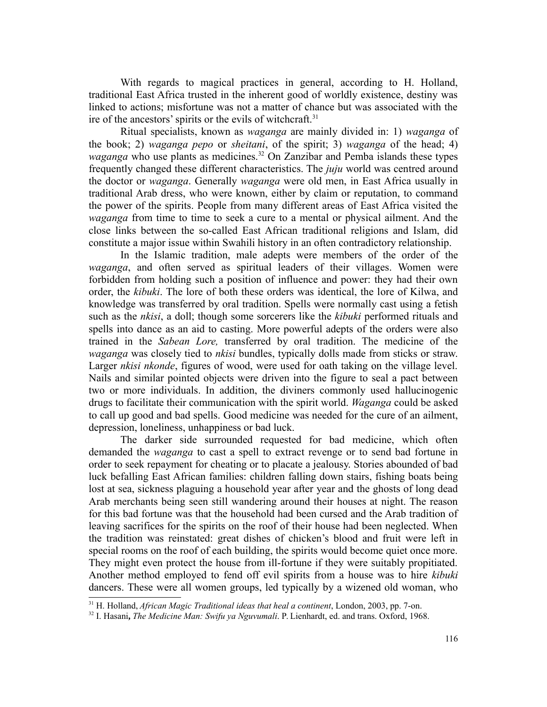With regards to magical practices in general, according to H. Holland, traditional East Africa trusted in the inherent good of worldly existence, destiny was linked to actions; misfortune was not a matter of chance but was associated with the ire of the ancestors' spirits or the evils of witchcraft.<sup>[31](#page-11-0)</sup>

Ritual specialists, known as *waganga* are mainly divided in: 1) *waganga* of the book; 2) *waganga pepo* or *sheitani*, of the spirit; 3) *waganga* of the head; 4) *waganga* who use plants as medicines.<sup>[32](#page-11-1)</sup> On Zanzibar and Pemba islands these types frequently changed these different characteristics. The *juju* world was centred around the doctor or *waganga*. Generally *waganga* were old men, in East Africa usually in traditional Arab dress, who were known, either by claim or reputation, to command the power of the spirits. People from many different areas of East Africa visited the *waganga* from time to time to seek a cure to a mental or physical ailment. And the close links between the so-called East African traditional religions and Islam, did constitute a major issue within Swahili history in an often contradictory relationship.

In the Islamic tradition, male adepts were members of the order of the *waganga*, and often served as spiritual leaders of their villages. Women were forbidden from holding such a position of influence and power: they had their own order, the *kibuki*. The lore of both these orders was identical, the lore of Kilwa, and knowledge was transferred by oral tradition. Spells were normally cast using a fetish such as the *nkisi*, a doll; though some sorcerers like the *kibuki* performed rituals and spells into dance as an aid to casting. More powerful adepts of the orders were also trained in the *Sabean Lore,* transferred by oral tradition. The medicine of the *waganga* was closely tied to *nkisi* bundles, typically dolls made from sticks or straw. Larger *nkisi nkonde*, figures of wood, were used for oath taking on the village level. Nails and similar pointed objects were driven into the figure to seal a pact between two or more individuals. In addition, the diviners commonly used hallucinogenic drugs to facilitate their communication with the spirit world. *Waganga* could be asked to call up good and bad spells. Good medicine was needed for the cure of an ailment, depression, loneliness, unhappiness or bad luck.

The darker side surrounded requested for bad medicine, which often demanded the *waganga* to cast a spell to extract revenge or to send bad fortune in order to seek repayment for cheating or to placate a jealousy. Stories abounded of bad luck befalling East African families: children falling down stairs, fishing boats being lost at sea, sickness plaguing a household year after year and the ghosts of long dead Arab merchants being seen still wandering around their houses at night. The reason for this bad fortune was that the household had been cursed and the Arab tradition of leaving sacrifices for the spirits on the roof of their house had been neglected. When the tradition was reinstated: great dishes of chicken's blood and fruit were left in special rooms on the roof of each building, the spirits would become quiet once more. They might even protect the house from ill-fortune if they were suitably propitiated. Another method employed to fend off evil spirits from a house was to hire *kibuki*  dancers. These were all women groups, led typically by a wizened old woman, who

<span id="page-11-0"></span><sup>31</sup> H. Holland, *African Magic Traditional ideas that heal a continent*, London, 2003, pp. 7-on.

<span id="page-11-1"></span><sup>32</sup> I. Hasani**,** *The Medicine Man: Swifu ya Nguvumali*. P. Lienhardt, ed. and trans. Oxford, 1968.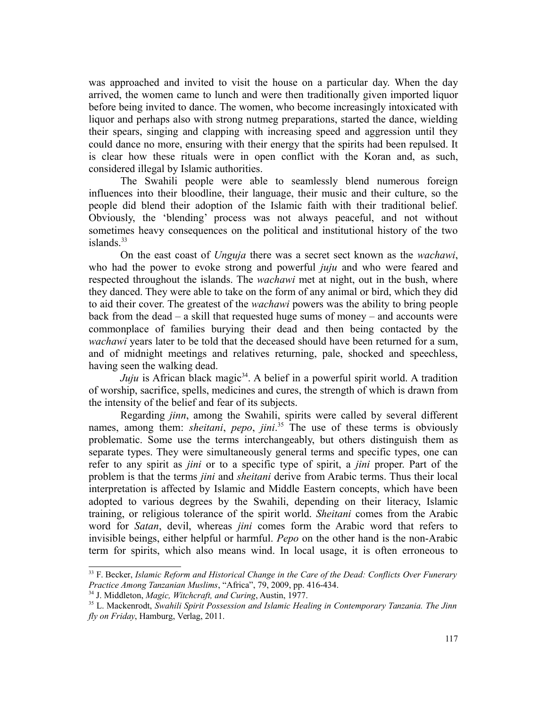was approached and invited to visit the house on a particular day. When the day arrived, the women came to lunch and were then traditionally given imported liquor before being invited to dance. The women, who become increasingly intoxicated with liquor and perhaps also with strong nutmeg preparations, started the dance, wielding their spears, singing and clapping with increasing speed and aggression until they could dance no more, ensuring with their energy that the spirits had been repulsed. It is clear how these rituals were in open conflict with the Koran and, as such, considered illegal by Islamic authorities.

The Swahili people were able to seamlessly blend numerous foreign influences into their bloodline, their language, their music and their culture, so the people did blend their adoption of the Islamic faith with their traditional belief. Obviously, the 'blending' process was not always peaceful, and not without sometimes heavy consequences on the political and institutional history of the two  $is$ lands. $33$ 

On the east coast of *Unguja* there was a secret sect known as the *wachawi*, who had the power to evoke strong and powerful *juju* and who were feared and respected throughout the islands. The *wachawi* met at night, out in the bush, where they danced. They were able to take on the form of any animal or bird, which they did to aid their cover. The greatest of the *wachawi* powers was the ability to bring people back from the dead – a skill that requested huge sums of money – and accounts were commonplace of families burying their dead and then being contacted by the *wachawi* years later to be told that the deceased should have been returned for a sum, and of midnight meetings and relatives returning, pale, shocked and speechless, having seen the walking dead.

*Juju* is African black magic<sup>[34](#page-12-1)</sup>. A belief in a powerful spirit world. A tradition of worship, sacrifice, spells, medicines and cures, the strength of which is drawn from the intensity of the belief and fear of its subjects.

Regarding *jinn*, among the Swahili, spirits were called by several different names, among them: *sheitani*, *pepo*, *jini*. [35](#page-12-2) The use of these terms is obviously problematic. Some use the terms interchangeably, but others distinguish them as separate types. They were simultaneously general terms and specific types, one can refer to any spirit as *jini* or to a specific type of spirit, a *jini* proper. Part of the problem is that the terms *jini* and *sheitani* derive from Arabic terms. Thus their local interpretation is affected by Islamic and Middle Eastern concepts, which have been adopted to various degrees by the Swahili, depending on their literacy, Islamic training, or religious tolerance of the spirit world. *Sheitani* comes from the Arabic word for *Satan*, devil, whereas *jini* comes form the Arabic word that refers to invisible beings, either helpful or harmful. *Pepo* on the other hand is the non-Arabic term for spirits, which also means wind. In local usage, it is often erroneous to

<span id="page-12-0"></span><sup>33</sup> F. Becker, *Islamic Reform and Historical Change in the Care of the Dead: Conflicts Over Funerary Practice Among Tanzanian Muslims*, "Africa", 79, 2009, pp. 416-434.

<span id="page-12-1"></span><sup>34</sup> J. Middleton, *Magic, Witchcraft, and Curing*, Austin, 1977.

<span id="page-12-2"></span><sup>35</sup> L. Mackenrodt, *Swahili Spirit Possession and Islamic Healing in Contemporary Tanzania. The Jinn fly on Friday*, Hamburg, Verlag, 2011.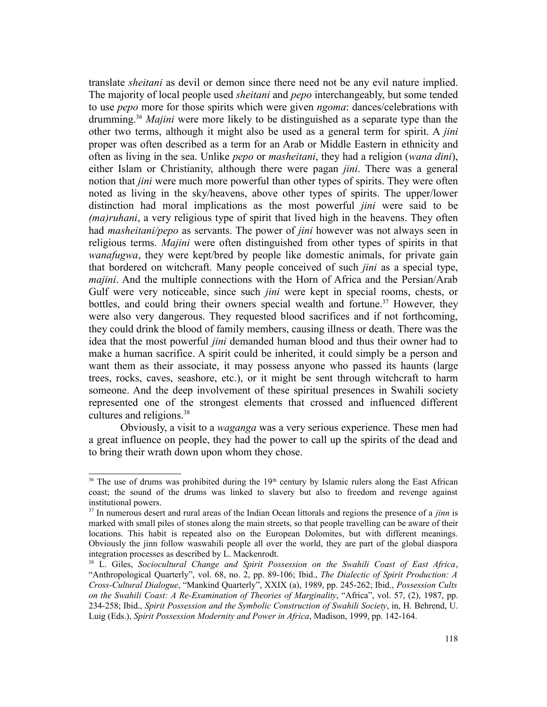translate *sheitani* as devil or demon since there need not be any evil nature implied. The majority of local people used *sheitani* and *pepo* interchangeably, but some tended to use *pepo* more for those spirits which were given *ngoma*: dances/celebrations with drumming.[36](#page-13-0) *Majini* were more likely to be distinguished as a separate type than the other two terms, although it might also be used as a general term for spirit. A *jini*  proper was often described as a term for an Arab or Middle Eastern in ethnicity and often as living in the sea. Unlike *pepo* or *masheitani*, they had a religion (*wana dini*), either Islam or Christianity, although there were pagan *jini*. There was a general notion that *jini* were much more powerful than other types of spirits. They were often noted as living in the sky/heavens, above other types of spirits. The upper/lower distinction had moral implications as the most powerful *jini* were said to be *(ma)ruhani*, a very religious type of spirit that lived high in the heavens. They often had *masheitani/pepo* as servants. The power of *jini* however was not always seen in religious terms. *Majini* were often distinguished from other types of spirits in that *wanafugwa*, they were kept/bred by people like domestic animals, for private gain that bordered on witchcraft. Many people conceived of such *jini* as a special type, *majini*. And the multiple connections with the Horn of Africa and the Persian/Arab Gulf were very noticeable, since such *jini* were kept in special rooms, chests, or bottles, and could bring their owners special wealth and fortune.<sup>[37](#page-13-1)</sup> However, they were also very dangerous. They requested blood sacrifices and if not forthcoming, they could drink the blood of family members, causing illness or death. There was the idea that the most powerful *jini* demanded human blood and thus their owner had to make a human sacrifice. A spirit could be inherited, it could simply be a person and want them as their associate, it may possess anyone who passed its haunts (large trees, rocks, caves, seashore, etc.), or it might be sent through witchcraft to harm someone. And the deep involvement of these spiritual presences in Swahili society represented one of the strongest elements that crossed and influenced different cultures and religions.<sup>[38](#page-13-2)</sup>

Obviously, a visit to a *waganga* was a very serious experience. These men had a great influence on people, they had the power to call up the spirits of the dead and to bring their wrath down upon whom they chose.

<span id="page-13-0"></span> $36$  The use of drums was prohibited during the  $19<sup>th</sup>$  century by Islamic rulers along the East African coast; the sound of the drums was linked to slavery but also to freedom and revenge against institutional powers.

<span id="page-13-1"></span><sup>37</sup> In numerous desert and rural areas of the Indian Ocean littorals and regions the presence of a *jinn* is marked with small piles of stones along the main streets, so that people travelling can be aware of their locations. This habit is repeated also on the European Dolomites, but with different meanings. Obviously the jinn follow waswahili people all over the world, they are part of the global diaspora integration processes as described by L. Mackenrodt.

<span id="page-13-2"></span><sup>38</sup> L. Giles, *Sociocultural Change and Spirit Possession on the Swahili Coast of East Africa*, "Anthropological Quarterly", vol. 68, no. 2, pp. 89-106; Ibid., *The Dialectic of Spirit Production: A Cross-Cultural Dialogue*, "Mankind Quarterly", XXIX (a), 1989, pp. 245-262; Ibid., *Possession Cults on the Swahili Coast: A Re-Examination of Theories of Marginality*, "Africa", vol. 57, (2), 1987, pp. 234-258; Ibid., *Spirit Possession and the Symbolic Construction of Swahili Society*, in, H. Behrend, U. Luig (Eds.), *Spirit Possession Modernity and Power in Africa*, Madison, 1999, pp. 142-164.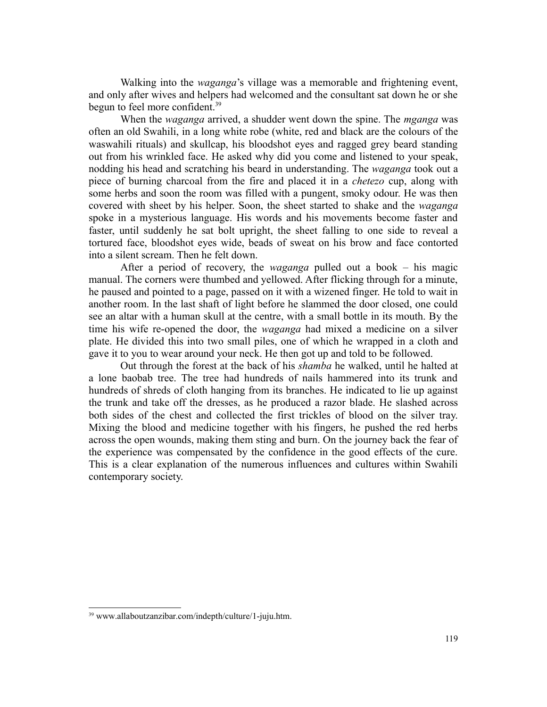Walking into the *waganga*'s village was a memorable and frightening event, and only after wives and helpers had welcomed and the consultant sat down he or she begun to feel more confident.<sup>[39](#page-14-0)</sup>

When the *waganga* arrived, a shudder went down the spine. The *mganga* was often an old Swahili, in a long white robe (white, red and black are the colours of the waswahili rituals) and skullcap, his bloodshot eyes and ragged grey beard standing out from his wrinkled face. He asked why did you come and listened to your speak, nodding his head and scratching his beard in understanding. The *waganga* took out a piece of burning charcoal from the fire and placed it in a *chetezo* cup, along with some herbs and soon the room was filled with a pungent, smoky odour. He was then covered with sheet by his helper. Soon, the sheet started to shake and the *waganga*  spoke in a mysterious language. His words and his movements become faster and faster, until suddenly he sat bolt upright, the sheet falling to one side to reveal a tortured face, bloodshot eyes wide, beads of sweat on his brow and face contorted into a silent scream. Then he felt down.

After a period of recovery, the *waganga* pulled out a book – his magic manual. The corners were thumbed and yellowed. After flicking through for a minute, he paused and pointed to a page, passed on it with a wizened finger. He told to wait in another room. In the last shaft of light before he slammed the door closed, one could see an altar with a human skull at the centre, with a small bottle in its mouth. By the time his wife re-opened the door, the *waganga* had mixed a medicine on a silver plate. He divided this into two small piles, one of which he wrapped in a cloth and gave it to you to wear around your neck. He then got up and told to be followed.

Out through the forest at the back of his *shamba* he walked, until he halted at a lone baobab tree. The tree had hundreds of nails hammered into its trunk and hundreds of shreds of cloth hanging from its branches. He indicated to lie up against the trunk and take off the dresses, as he produced a razor blade. He slashed across both sides of the chest and collected the first trickles of blood on the silver tray. Mixing the blood and medicine together with his fingers, he pushed the red herbs across the open wounds, making them sting and burn. On the journey back the fear of the experience was compensated by the confidence in the good effects of the cure. This is a clear explanation of the numerous influences and cultures within Swahili contemporary society.

<span id="page-14-0"></span><sup>39</sup> www.allaboutzanzibar.com/indepth/culture/1-juju.htm.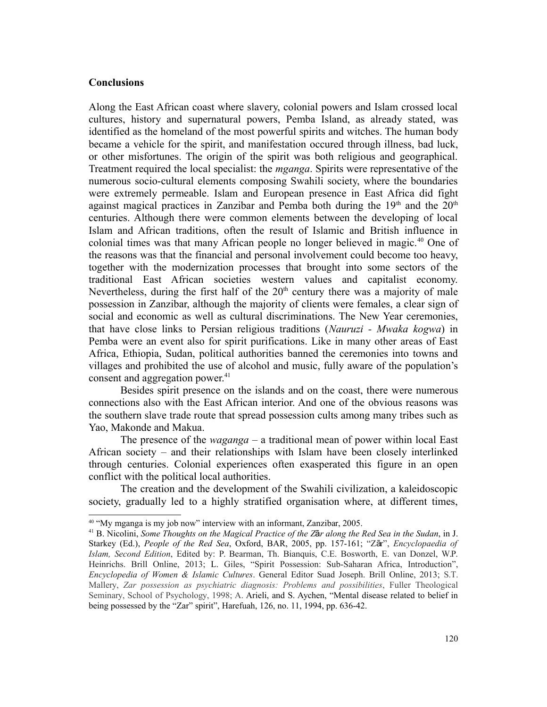#### **Conclusions**

Along the East African coast where slavery, colonial powers and Islam crossed local cultures, history and supernatural powers, Pemba Island, as already stated, was identified as the homeland of the most powerful spirits and witches. The human body became a vehicle for the spirit, and manifestation occured through illness, bad luck, or other misfortunes. The origin of the spirit was both religious and geographical. Treatment required the local specialist: the *mganga*. Spirits were representative of the numerous socio-cultural elements composing Swahili society, where the boundaries were extremely permeable. Islam and European presence in East Africa did fight against magical practices in Zanzibar and Pemba both during the  $19<sup>th</sup>$  and the  $20<sup>th</sup>$ centuries. Although there were common elements between the developing of local Islam and African traditions, often the result of Islamic and British influence in colonial times was that many African people no longer believed in magic.[40](#page-15-0) One of the reasons was that the financial and personal involvement could become too heavy, together with the modernization processes that brought into some sectors of the traditional East African societies western values and capitalist economy. Nevertheless, during the first half of the  $20<sup>th</sup>$  century there was a majority of male possession in Zanzibar, although the majority of clients were females, a clear sign of social and economic as well as cultural discriminations. The New Year ceremonies, that have close links to Persian religious traditions (*Nauruzi - Mwaka kogwa*) in Pemba were an event also for spirit purifications. Like in many other areas of East Africa, Ethiopia, Sudan, political authorities banned the ceremonies into towns and villages and prohibited the use of alcohol and music, fully aware of the population's consent and aggregation power.<sup>[41](#page-15-1)</sup>

Besides spirit presence on the islands and on the coast, there were numerous connections also with the East African interior. And one of the obvious reasons was the southern slave trade route that spread possession cults among many tribes such as Yao, Makonde and Makua.

The presence of the *waganga* – a traditional mean of power within local East African society – and their relationships with Islam have been closely interlinked through centuries. Colonial experiences often exasperated this figure in an open conflict with the political local authorities.

The creation and the development of the Swahili civilization, a kaleidoscopic society, gradually led to a highly stratified organisation where, at different times,

<span id="page-15-0"></span><sup>40</sup> "My mganga is my job now" interview with an informant, Zanzibar, 2005.

<span id="page-15-1"></span><sup>&</sup>lt;sup>41</sup> B. Nicolini, *Some Thoughts on the Magical Practice of the Zar along the Red Sea in the Sudan, in J.* Starkey (Ed.), *People of the Red Sea*, Oxford, BAR, 2005, pp. 157-161; "Zār", *Encyclopaedia of Islam, Second Edition*, Edited by: P. Bearman, Th. Bianquis, C.E. Bosworth, E. van Donzel, W.P. Heinrichs. Brill Online, 2013; L. Giles, "Spirit Possession: Sub-Saharan Africa, Introduction", *Encyclopedia of Women & Islamic Cultures*. General Editor Suad Joseph. Brill Online, 2013; S.T. Mallery, *Zar possession as psychiatric diagnosis: Problems and possibilities*, Fuller Theological Seminary, School of Psychology, 1998; A. Arieli, and S. Aychen, "Mental disease related to belief in being possessed by the "Zar" spirit", Harefuah, 126, no. 11, 1994, pp. 636-42.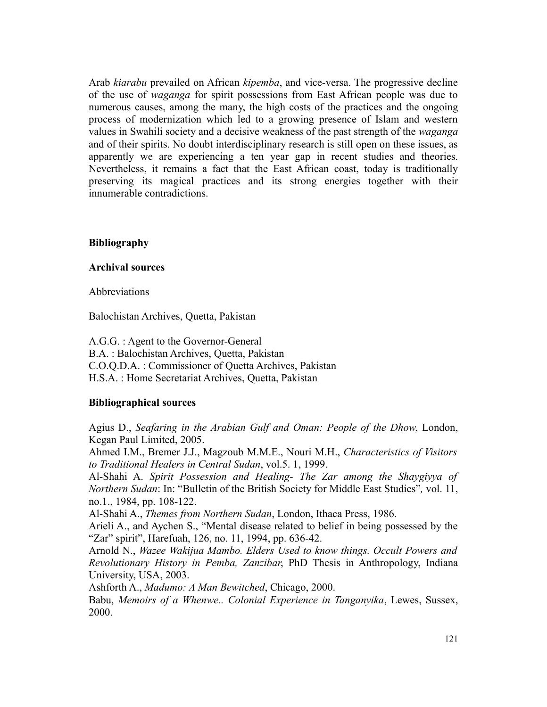Arab *kiarabu* prevailed on African *kipemba*, and vice-versa. The progressive decline of the use of *waganga* for spirit possessions from East African people was due to numerous causes, among the many, the high costs of the practices and the ongoing process of modernization which led to a growing presence of Islam and western values in Swahili society and a decisive weakness of the past strength of the *waganga*  and of their spirits. No doubt interdisciplinary research is still open on these issues, as apparently we are experiencing a ten year gap in recent studies and theories. Nevertheless, it remains a fact that the East African coast, today is traditionally preserving its magical practices and its strong energies together with their innumerable contradictions.

## **Bibliography**

### **Archival sources**

Abbreviations

Balochistan Archives, Quetta, Pakistan

A.G.G. : Agent to the Governor-General B.A. : Balochistan Archives, Quetta, Pakistan C.O.Q.D.A. : Commissioner of Quetta Archives, Pakistan H.S.A. : Home Secretariat Archives, Quetta, Pakistan

## **Bibliographical sources**

Agius D., *Seafaring in the Arabian Gulf and Oman: People of the Dhow*, London, Kegan Paul Limited, 2005.

Ahmed I.M., Bremer J.J., Magzoub M.M.E., Nouri M.H., *Characteristics of Visitors to Traditional Healers in Central Sudan*, vol.5. 1, 1999.

Al-Shahi A. *Spirit Possession and Healing- The Zar among the Shaygiyya of Northern Sudan*: In: "Bulletin of the British Society for Middle East Studies"*,* vol. 11, no.1., 1984, pp. 108-122.

Al-Shahi A., *Themes from Northern Sudan*, London, Ithaca Press, 1986.

Arieli A., and Aychen S., "Mental disease related to belief in being possessed by the "Zar" spirit", Harefuah, 126, no. 11, 1994, pp. 636-42.

Arnold N., *Wazee Wakijua Mambo. Elders Used to know things. Occult Powers and Revolutionary History in Pemba, Zanzibar*, PhD Thesis in Anthropology, Indiana University, USA, 2003.

Ashforth A., *Madumo: A Man Bewitched*, Chicago, 2000.

Babu, *Memoirs of a Whenwe.. Colonial Experience in Tanganyika*, Lewes, Sussex, 2000.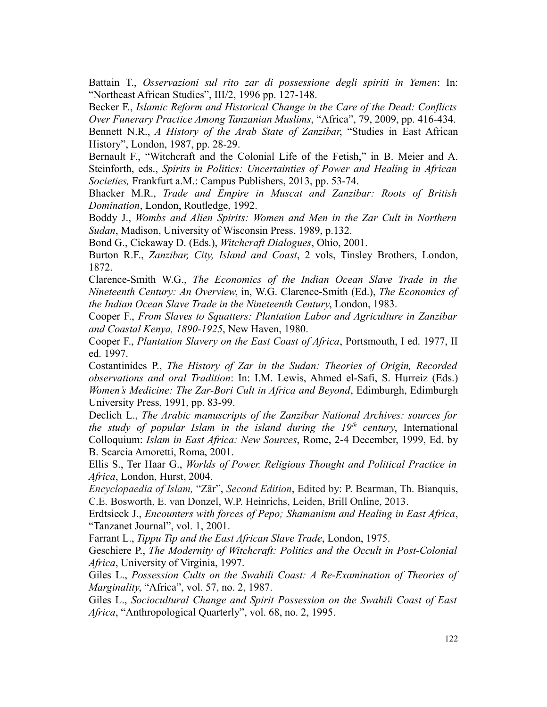Battain T., *Osservazioni sul rito zar di possessione degli spiriti in Yemen*: In: "Northeast African Studies", III/2, 1996 pp. 127-148.

Becker F., *Islamic Reform and Historical Change in the Care of the Dead: Conflicts Over Funerary Practice Among Tanzanian Muslims*, "Africa", 79, 2009, pp. 416-434.

Bennett N.R., *A History of the Arab State of Zanzibar*, "Studies in East African History", London, 1987, pp. 28-29.

Bernault F., "Witchcraft and the Colonial Life of the Fetish," in B. Meier and A. Steinforth, eds., *Spirits in Politics: Uncertainties of Power and Healing in African Societies,* Frankfurt a.M.: Campus Publishers, 2013, pp. 53-74.

Bhacker M.R., *Trade and Empire in Muscat and Zanzibar: Roots of British Domination*, London, Routledge, 1992.

Boddy J., *Wombs and Alien Spirits: Women and Men in the Zar Cult in Northern Sudan*, Madison, University of Wisconsin Press, 1989, p.132.

Bond G., Ciekaway D. (Eds.), *Witchcraft Dialogues*, Ohio, 2001.

Burton R.F., *Zanzibar, City, Island and Coast*, 2 vols, Tinsley Brothers, London, 1872.

Clarence-Smith W.G., *The Economics of the Indian Ocean Slave Trade in the Nineteenth Century: An Overview*, in, W.G. Clarence-Smith (Ed.), *The Economics of the Indian Ocean Slave Trade in the Nineteenth Century*, London, 1983.

Cooper F., *From Slaves to Squatters: Plantation Labor and Agriculture in Zanzibar and Coastal Kenya, 1890-1925*, New Haven, 1980.

Cooper F., *Plantation Slavery on the East Coast of Africa*, Portsmouth, I ed. 1977, II ed. 1997.

Costantinides P., *The History of Zar in the Sudan: Theories of Origin, Recorded observations and oral Tradition*: In: I.M. Lewis, Ahmed el-Safi, S. Hurreiz (Eds.) *Women's Medicine: The Zar-Bori Cult in Africa and Beyond*, Edimburgh, Edimburgh University Press, 1991, pp. 83-99.

Declich L., *The Arabic manuscripts of the Zanzibar National Archives: sources for the study of popular Islam in the island during the 19th century*, International Colloquium: *Islam in East Africa: New Sources*, Rome, 2-4 December, 1999, Ed. by B. Scarcia Amoretti, Roma, 2001.

Ellis S., Ter Haar G., *Worlds of Power. Religious Thought and Political Practice in Africa*, London, Hurst, 2004.

*Encyclopaedia of Islam,* "Zār", *Second Edition*, Edited by: P. Bearman, Th. Bianquis, C.E. Bosworth, E. van Donzel, W.P. Heinrichs, Leiden, Brill Online, 2013.

Erdtsieck J., *Encounters with forces of Pepo; Shamanism and Healing in East Africa*, "Tanzanet Journal", vol. 1, 2001.

Farrant L., *Tippu Tip and the East African Slave Trade*, London, 1975.

Geschiere P., *The Modernity of Witchcraft: Politics and the Occult in Post-Colonial Africa*, University of Virginia, 1997.

Giles L., *Possession Cults on the Swahili Coast: A Re-Examination of Theories of Marginality*, "Africa", vol. 57, no. 2, 1987.

Giles L., *Sociocultural Change and Spirit Possession on the Swahili Coast of East Africa*, "Anthropological Quarterly", vol. 68, no. 2, 1995.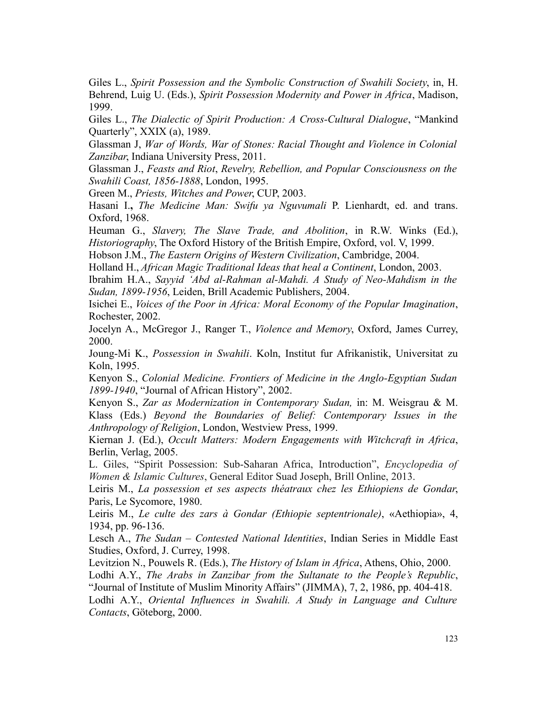Giles L., *Spirit Possession and the Symbolic Construction of Swahili Society*, in, H. Behrend, Luig U. (Eds.), *Spirit Possession Modernity and Power in Africa*, Madison, 1999.

Giles L., *The Dialectic of Spirit Production: A Cross-Cultural Dialogue*, "Mankind Quarterly", XXIX (a), 1989.

Glassman J, *War of Words, War of Stones: Racial Thought and Violence in Colonial Zanzibar*, Indiana University Press, 2011.

Glassman J., *Feasts and Riot*, *Revelry, Rebellion, and Popular Consciousness on the Swahili Coast, 1856-1888*, London, 1995.

Green M., *Priests, Witches and Power*, CUP, 2003.

Hasani I.**,** *The Medicine Man: Swifu ya Nguvumali* P. Lienhardt, ed. and trans. Oxford, 1968.

Heuman G., *Slavery, The Slave Trade, and Abolition*, in R.W. Winks (Ed.), *Historiography*, The Oxford History of the British Empire, Oxford, vol. V, 1999.

Hobson J.M., *The Eastern Origins of Western Civilization*, Cambridge, 2004.

Holland H., *African Magic Traditional Ideas that heal a Continent*, London, 2003.

Ibrahim H.A., *Sayyid 'Abd al-Rahman al-Mahdi. A Study of Neo-Mahdism in the Sudan, 1899-1956*, Leiden, Brill Academic Publishers, 2004.

Isichei E., *Voices of the Poor in Africa: Moral Economy of the Popular Imagination*, Rochester, 2002.

Jocelyn A., McGregor J., Ranger T., *Violence and Memory*, Oxford, James Currey, 2000.

Joung-Mi K., *Possession in Swahili*. Koln, Institut fur Afrikanistik, Universitat zu Koln, 1995.

Kenyon S., *Colonial Medicine. Frontiers of Medicine in the Anglo-Egyptian Sudan 1899-1940*, "Journal of African History", 2002.

Kenyon S., *Zar as Modernization in Contemporary Sudan,* in: M. Weisgrau & M. Klass (Eds.) *Beyond the Boundaries of Belief: Contemporary Issues in the Anthropology of Religion*, London, Westview Press, 1999.

Kiernan J. (Ed.), *Occult Matters: Modern Engagements with Witchcraft in Africa*, Berlin, Verlag, 2005.

L. Giles, "Spirit Possession: Sub-Saharan Africa, Introduction", *Encyclopedia of Women & Islamic Cultures*, General Editor Suad Joseph, Brill Online, 2013.

Leiris M., *La possession et ses aspects théatraux chez les Ethiopiens de Gondar*, Paris, Le Sycomore, 1980.

Leiris M., *Le culte des zars à Gondar (Ethiopie septentrionale)*, «Aethiopia», 4, 1934, pp. 96-136.

Lesch A., *The Sudan – Contested National Identities*, Indian Series in Middle East Studies, Oxford, J. Currey, 1998.

Levitzion N., Pouwels R. (Eds.), *The History of Islam in Africa*, Athens, Ohio, 2000.

Lodhi A.Y., *The Arabs in Zanzibar from the Sultanate to the People's Republic*, "Journal of Institute of Muslim Minority Affairs" (JIMMA), 7, 2, 1986, pp. 404-418.

Lodhi A.Y., *Oriental Influences in Swahili. A Study in Language and Culture Contacts*, Göteborg, 2000.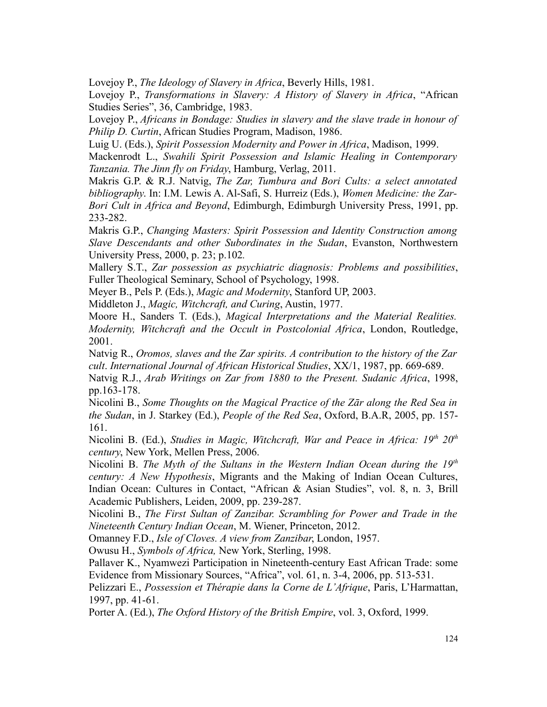Lovejoy P., *The Ideology of Slavery in Africa*, Beverly Hills, 1981.

Lovejoy P., *Transformations in Slavery: A History of Slavery in Africa*, "African Studies Series", 36, Cambridge, 1983.

Lovejoy P., *Africans in Bondage: Studies in slavery and the slave trade in honour of Philip D. Curtin*, African Studies Program, Madison, 1986.

Luig U. (Eds.), *Spirit Possession Modernity and Power in Africa*, Madison, 1999.

Mackenrodt L., *Swahili Spirit Possession and Islamic Healing in Contemporary Tanzania. The Jinn fly on Friday*, Hamburg, Verlag, 2011.

Makris G.P. & R.J. Natvig, *The Zar, Tumbura and Bori Cults: a select annotated bibliography*. In: I.M. Lewis A. Al-Safi, S. Hurreiz (Eds.), *Women Medicine: the Zar-Bori Cult in Africa and Beyond*, Edimburgh, Edimburgh University Press, 1991, pp. 233-282.

Makris G.P., *Changing Masters: Spirit Possession and Identity Construction among Slave Descendants and other Subordinates in the Sudan*, Evanston, Northwestern University Press, 2000, p. 23; p.102*.*

Mallery S.T., *Zar possession as psychiatric diagnosis: Problems and possibilities*, Fuller Theological Seminary, School of Psychology, 1998.

Meyer B., Pels P. (Eds.), *Magic and Modernity*, Stanford UP, 2003.

Middleton J., *Magic, Witchcraft, and Curing*, Austin, 1977.

Moore H., Sanders T. (Eds.), *Magical Interpretations and the Material Realities. Modernity, Witchcraft and the Occult in Postcolonial Africa*, London, Routledge, 2001.

Natvig R., *Oromos, slaves and the Zar spirits. A contribution to the history of the Zar cult*. *International Journal of African Historical Studies*, XX/1, 1987, pp. 669-689.

Natvig R.J., *Arab Writings on Zar from 1880 to the Present. Sudanic Africa*, 1998, pp.163-178.

Nicolini B., *Some Thoughts on the Magical Practice of the Zār along the Red Sea in the Sudan*, in J. Starkey (Ed.), *People of the Red Sea*, Oxford, B.A.R, 2005, pp. 157- 161.

Nicolini B. (Ed.), *Studies in Magic, Witchcraft, War and Peace in Africa:*  $19<sup>th</sup> 20<sup>th</sup>$ *century*, New York, Mellen Press, 2006.

Nicolini B. *The Myth of the Sultans in the Western Indian Ocean during the 19th century: A New Hypothesis*, Migrants and the Making of Indian Ocean Cultures, Indian Ocean: Cultures in Contact, "African & Asian Studies", vol. 8, n. 3, Brill Academic Publishers, Leiden, 2009, pp. 239-287.

Nicolini B., *The First Sultan of Zanzibar. Scrambling for Power and Trade in the Nineteenth Century Indian Ocean*, M. Wiener, Princeton, 2012.

Omanney F.D., *Isle of Cloves. A view from Zanzibar*, London, 1957.

Owusu H., *Symbols of Africa,* New York, Sterling, 1998.

Pallaver K., Nyamwezi Participation in Nineteenth-century East African Trade: some Evidence from Missionary Sources, "Africa", vol. 61, n. 3-4, 2006, pp. 513-531.

Pelizzari E., *Possession et Thérapie dans la Corne de L'Afrique*, Paris, L'Harmattan, 1997, pp. 41-61.

Porter A. (Ed.), *The Oxford History of the British Empire*, vol. 3, Oxford, 1999.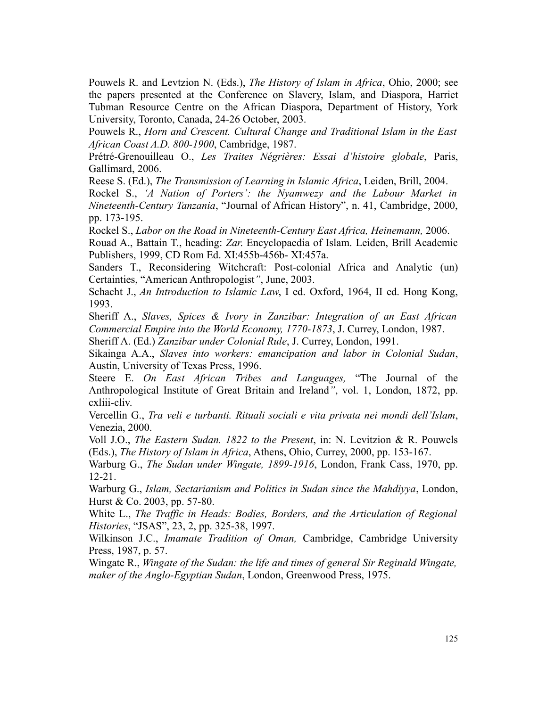Pouwels R. and Levtzion N. (Eds.), *The History of Islam in Africa*, Ohio, 2000; see the papers presented at the Conference on Slavery, Islam, and Diaspora, Harriet Tubman Resource Centre on the African Diaspora, Department of History, York University, Toronto, Canada, 24-26 October, 2003.

Pouwels R., *Horn and Crescent. Cultural Change and Traditional Islam in the East African Coast A.D. 800-1900*, Cambridge, 1987.

Prétré-Grenouilleau O., *Les Traites Négrières: Essai d'histoire globale*, Paris, Gallimard, 2006.

Reese S. (Ed.), *The Transmission of Learning in Islamic Africa*, Leiden, Brill, 2004.

Rockel S., *'A Nation of Porters': the Nyamwezy and the Labour Market in Nineteenth-Century Tanzania*, "Journal of African History", n. 41, Cambridge, 2000, pp. 173-195.

Rockel S., *Labor on the Road in Nineteenth-Century East Africa, Heinemann,* 2006.

Rouad A., Battain T., heading: *Zar*. Encyclopaedia of Islam. Leiden, Brill Academic Publishers, 1999, CD Rom Ed. XI:455b-456b- XI:457a.

Sanders T., Reconsidering Witchcraft: Post-colonial Africa and Analytic (un) Certainties, "American Anthropologist*"*, June, 2003.

Schacht J., *An Introduction to Islamic Law*, I ed. Oxford, 1964, II ed. Hong Kong, 1993.

Sheriff A., *Slaves, Spices & Ivory in Zanzibar: Integration of an East African Commercial Empire into the World Economy, 1770-1873*, J. Currey, London, 1987.

Sheriff A. (Ed.) *Zanzibar under Colonial Rule*, J. Currey, London, 1991.

Sikainga A.A., *Slaves into workers: emancipation and labor in Colonial Sudan*, Austin, University of Texas Press, 1996.

Steere E. *On East African Tribes and Languages,* "The Journal of the Anthropological Institute of Great Britain and Ireland*"*, vol. 1, London, 1872, pp. cxliii-cliv.

Vercellin G., *Tra veli e turbanti. Rituali sociali e vita privata nei mondi dell'Islam*, Venezia, 2000.

Voll J.O., *The Eastern Sudan. 1822 to the Present*, in: N. Levitzion & R. Pouwels (Eds.), *The History of Islam in Africa*, Athens, Ohio, Currey, 2000, pp. 153-167.

Warburg G., *The Sudan under Wingate, 1899-1916*, London, Frank Cass, 1970, pp. 12-21.

Warburg G., *Islam, Sectarianism and Politics in Sudan since the Mahdiyya*, London, Hurst & Co. 2003, pp. 57-80.

White L., *The Traffic in Heads: Bodies, Borders, and the Articulation of Regional Histories*, "JSAS", 23, 2, pp. 325-38, 1997.

Wilkinson J.C., *Imamate Tradition of Oman,* Cambridge, Cambridge University Press, 1987, p. 57.

Wingate R., *Wingate of the Sudan: the life and times of general Sir Reginald Wingate, maker of the Anglo-Egyptian Sudan*, London, Greenwood Press, 1975.